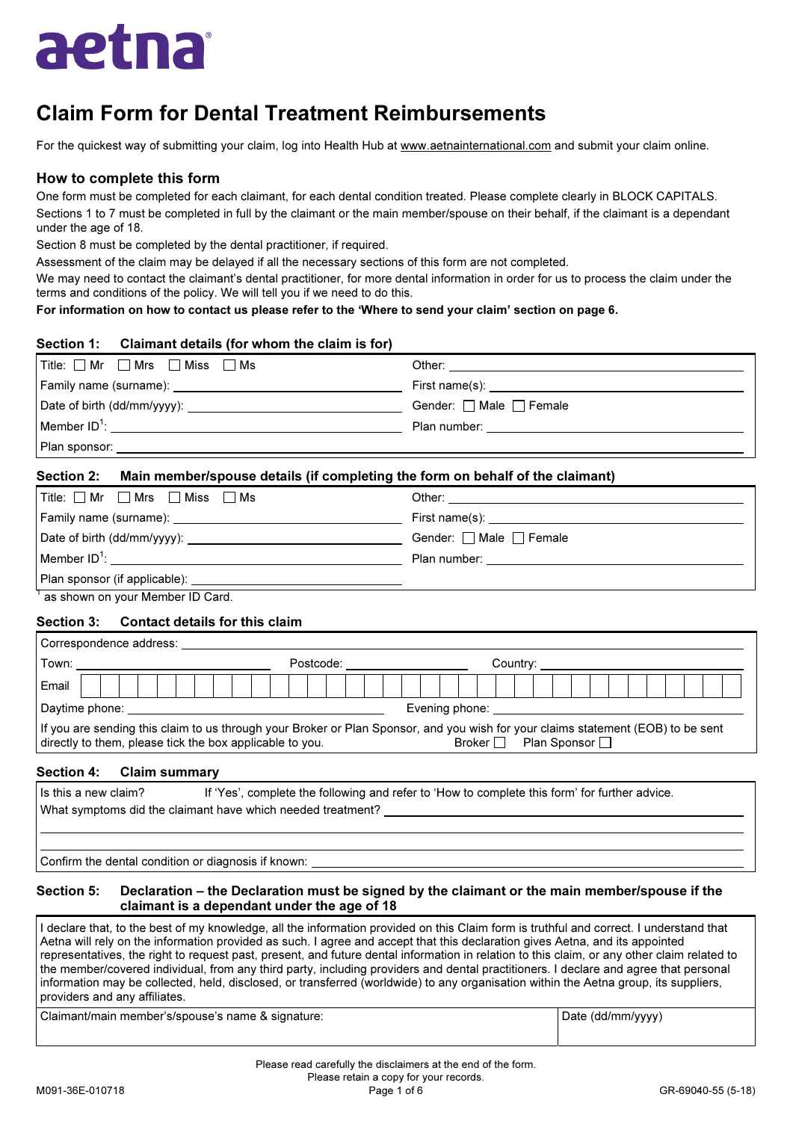

# Claim Form for Dental Treatment Reimbursements

For the quickest way of submitting your claim, log into Health Hub at www.aetnainternational.com and submit your claim online.

## How to complete this form

One form must be completed for each claimant, for each dental condition treated. Please complete clearly in BLOCK CAPITALS. Sections 1 to 7 must be completed in full by the claimant or the main member/spouse on their behalf, if the claimant is a dependant under the age of 18.

Section 8 must be completed by the dental practitioner, if required.

Assessment of the claim may be delayed if all the necessary sections of this form are not completed.

We may need to contact the claimant's dental practitioner, for more dental information in order for us to process the claim under the terms and conditions of the policy. We will tell you if we need to do this.

For information on how to contact us please refer to the 'Where to send your claim' section on page 6.

### Section 1: Claimant details (for whom the claim is for)

| $\boxed{\mathsf{Title}: \Box Mr}$ $\Box$ Mrs $\Box$ Miss $\Box$ Ms                                                                                                                                                                 |                                                                                                                                                                                                                                |
|------------------------------------------------------------------------------------------------------------------------------------------------------------------------------------------------------------------------------------|--------------------------------------------------------------------------------------------------------------------------------------------------------------------------------------------------------------------------------|
| Family name (surname): <u>contained</u> and the contained and the contact of Family name of the contact of the contact of the contact of the contact of the contact of the contact of the contact of the contact of the contact of |                                                                                                                                                                                                                                |
|                                                                                                                                                                                                                                    | Gender: $\Box$ Male $\Box$ Female                                                                                                                                                                                              |
|                                                                                                                                                                                                                                    | Plan number: the contract of the contract of the contract of the contract of the contract of the contract of the contract of the contract of the contract of the contract of the contract of the contract of the contract of t |
| Plan sponsor:                                                                                                                                                                                                                      |                                                                                                                                                                                                                                |

### Section 2: Main member/spouse details (if completing the form on behalf of the claimant)

| $\blacksquare$ Title: $\square$ Mr $\square$ Mrs $\square$ Miss $\square$ Ms                                                                                                                                                       |                                       |
|------------------------------------------------------------------------------------------------------------------------------------------------------------------------------------------------------------------------------------|---------------------------------------|
| Family name (surname): <u>contained</u> and the contained and the contact of the contact of the contact of the contact of the contact of the contact of the contact of the contact of the contact of the contact of the contact of |                                       |
|                                                                                                                                                                                                                                    | Gender: $\Box$ Male $\Box$ Female     |
| Member ID <sup>1</sup> : <u>___________________________</u>                                                                                                                                                                        | Plan number: ________________________ |
|                                                                                                                                                                                                                                    |                                       |
|                                                                                                                                                                                                                                    |                                       |

<sup>1</sup> as shown on your Member ID Card.

### Section 3: Contact details for this claim

| Correspondence address:                                                                                                                                                                      |  |  |  |  |  |  |  |           |  |  |                |  |  |               |  |  |                |  |  |  |  |  |
|----------------------------------------------------------------------------------------------------------------------------------------------------------------------------------------------|--|--|--|--|--|--|--|-----------|--|--|----------------|--|--|---------------|--|--|----------------|--|--|--|--|--|
| Town:                                                                                                                                                                                        |  |  |  |  |  |  |  | Postcode: |  |  |                |  |  | Country:      |  |  |                |  |  |  |  |  |
| Email                                                                                                                                                                                        |  |  |  |  |  |  |  |           |  |  |                |  |  |               |  |  |                |  |  |  |  |  |
| Daytime phone: <u>Daytime</u>                                                                                                                                                                |  |  |  |  |  |  |  |           |  |  | Evening phone: |  |  |               |  |  |                |  |  |  |  |  |
| If you are sending this claim to us through your Broker or Plan Sponsor, and you wish for your claims statement (EOB) to be sent<br>directly to them, please tick the box applicable to you. |  |  |  |  |  |  |  |           |  |  |                |  |  | Broker $\Box$ |  |  | Plan Sponsor I |  |  |  |  |  |

### Section 4: Claim summary

| Is this a new claim? | If 'Yes', complete the following and refer to 'How to complete this form' for further advice. |
|----------------------|-----------------------------------------------------------------------------------------------|
|                      | What symptoms did the claimant have which needed treatment?                                   |
|                      |                                                                                               |
|                      |                                                                                               |
| .<br>.               |                                                                                               |

Confirm the dental condition or diagnosis if known:

### Section 5: Declaration – the Declaration must be signed by the claimant or the main member/spouse if the claimant is a dependant under the age of 18

I declare that, to the best of my knowledge, all the information provided on this Claim form is truthful and correct. I understand that Aetna will rely on the information provided as such. I agree and accept that this declaration gives Aetna, and its appointed representatives, the right to request past, present, and future dental information in relation to this claim, or any other claim related to the member/covered individual, from any third party, including providers and dental practitioners. I declare and agree that personal information may be collected, held, disclosed, or transferred (worldwide) to any organisation within the Aetna group, its suppliers, providers and any affiliates.

Claimant/main member's/spouse's name & signature: Date (dd/mm/yyyy)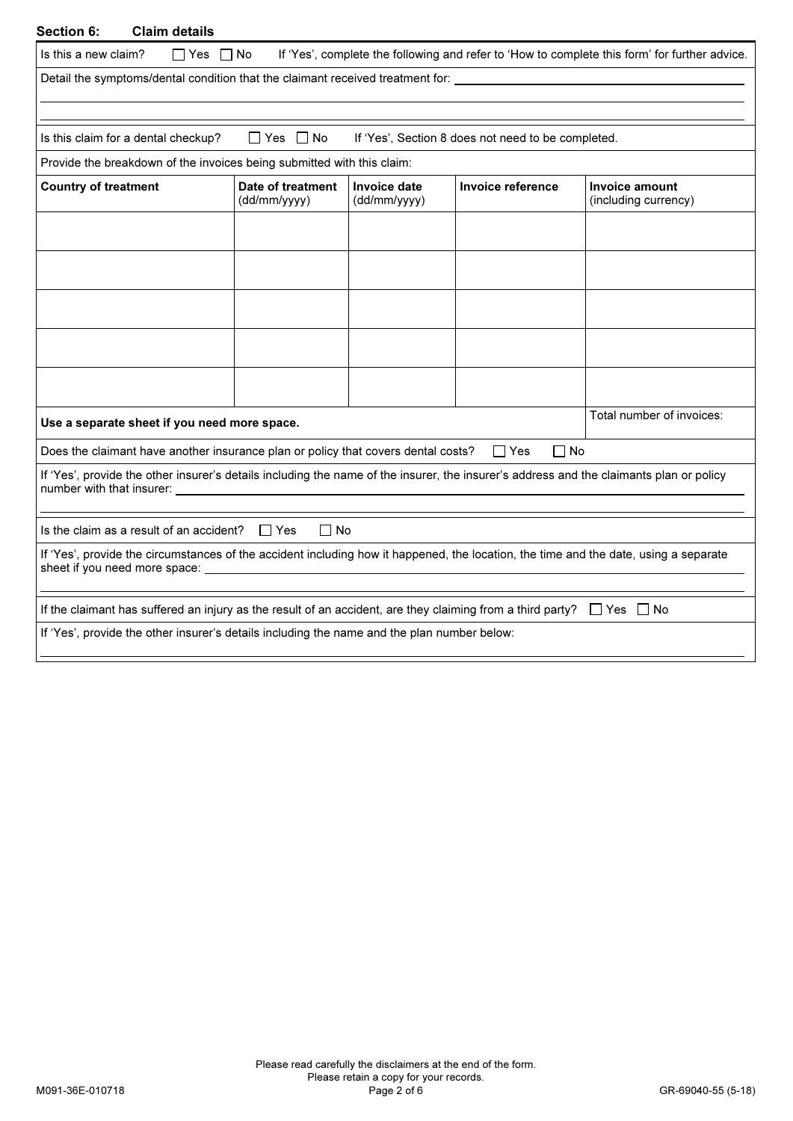| <b>Claim details</b><br>Section 6:                                                                                                                                    |                                   |                                               |                                                    |                                                                                               |
|-----------------------------------------------------------------------------------------------------------------------------------------------------------------------|-----------------------------------|-----------------------------------------------|----------------------------------------------------|-----------------------------------------------------------------------------------------------|
| Is this a new claim?<br>$\Box$ Yes $\Box$ No                                                                                                                          |                                   |                                               |                                                    | If 'Yes', complete the following and refer to 'How to complete this form' for further advice. |
|                                                                                                                                                                       |                                   |                                               |                                                    |                                                                                               |
|                                                                                                                                                                       |                                   |                                               |                                                    |                                                                                               |
| Is this claim for a dental checkup?                                                                                                                                   | ∐Yes ∐No                          |                                               | If 'Yes', Section 8 does not need to be completed. |                                                                                               |
| Provide the breakdown of the invoices being submitted with this claim:                                                                                                |                                   |                                               |                                                    |                                                                                               |
| <b>Country of treatment</b>                                                                                                                                           | Date of treatment<br>(dd/mm/yyyy) | Invoice date<br>(dd/mm/yyyy)                  | Invoice reference                                  | Invoice amount<br>(including currency)                                                        |
|                                                                                                                                                                       |                                   |                                               |                                                    |                                                                                               |
|                                                                                                                                                                       |                                   |                                               |                                                    |                                                                                               |
|                                                                                                                                                                       |                                   |                                               |                                                    |                                                                                               |
|                                                                                                                                                                       |                                   |                                               |                                                    |                                                                                               |
|                                                                                                                                                                       |                                   |                                               |                                                    |                                                                                               |
| Use a separate sheet if you need more space.                                                                                                                          |                                   |                                               |                                                    | Total number of invoices:                                                                     |
| Does the claimant have another insurance plan or policy that covers dental costs?                                                                                     |                                   |                                               | ∏ No<br>l Yes                                      |                                                                                               |
| If 'Yes', provide the other insurer's details including the name of the insurer, the insurer's address and the claimants plan or policy<br>number with that insurer:  |                                   |                                               |                                                    |                                                                                               |
| Is the claim as a result of an accident?                                                                                                                              | IIYes<br>l I No                   |                                               |                                                    |                                                                                               |
| If 'Yes', provide the circumstances of the accident including how it happened, the location, the time and the date, using a separate<br>sheet if you need more space: |                                   | <u> 1989 - Andrea Andrew Maria (h. 1989).</u> |                                                    |                                                                                               |
| If the claimant has suffered an injury as the result of an accident, are they claiming from a third party? $\Box$ Yes $\Box$ No                                       |                                   |                                               |                                                    |                                                                                               |
| If 'Yes', provide the other insurer's details including the name and the plan number below:                                                                           |                                   |                                               |                                                    |                                                                                               |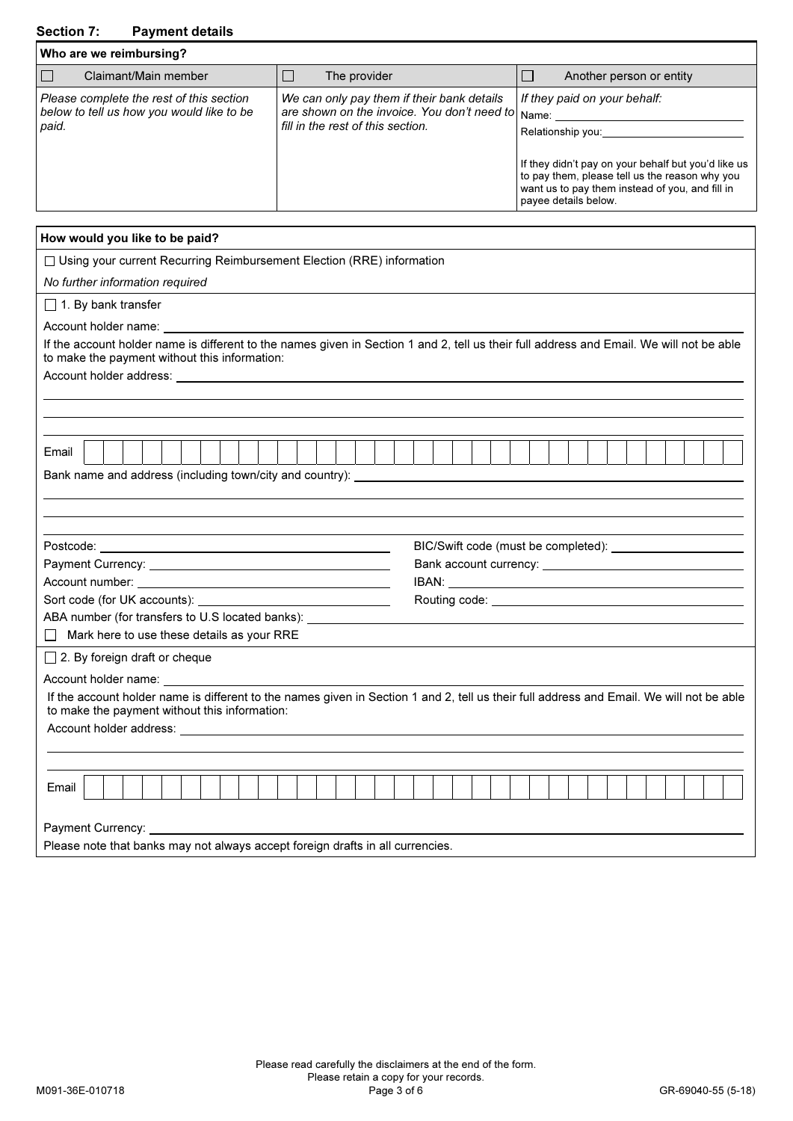# Section 7: Payment details

| Who are we reimbursing?                                                                        |                                                                                                                                      |                                                                                                                                                            |
|------------------------------------------------------------------------------------------------|--------------------------------------------------------------------------------------------------------------------------------------|------------------------------------------------------------------------------------------------------------------------------------------------------------|
| Claimant/Main member                                                                           | The provider                                                                                                                         | Another person or entity                                                                                                                                   |
| Please complete the rest of this section<br>below to tell us how you would like to be<br>paid. | We can only pay them if their bank details<br>are shown on the invoice. You don't need to Name:<br>fill in the rest of this section. | If they paid on your behalf:<br>Relationship you:<br>If they didn't pay on your behalf but you'd like us<br>to pay them, please tell us the reason why you |
|                                                                                                |                                                                                                                                      | want us to pay them instead of you, and fill in<br>payee details below.                                                                                    |

| How would you like to be paid?                                                                                                                                                                                                |                                                                                                                                          |
|-------------------------------------------------------------------------------------------------------------------------------------------------------------------------------------------------------------------------------|------------------------------------------------------------------------------------------------------------------------------------------|
| □ Using your current Recurring Reimbursement Election (RRE) information                                                                                                                                                       |                                                                                                                                          |
| No further information required                                                                                                                                                                                               |                                                                                                                                          |
| $\Box$ 1. By bank transfer                                                                                                                                                                                                    |                                                                                                                                          |
| Account holder name: example a state of the state of the state of the state of the state of the state of the state of the state of the state of the state of the state of the state of the state of the state of the state of |                                                                                                                                          |
| If the account holder name is different to the names given in Section 1 and 2, tell us their full address and Email. We will not be able<br>to make the payment without this information:                                     |                                                                                                                                          |
|                                                                                                                                                                                                                               |                                                                                                                                          |
|                                                                                                                                                                                                                               |                                                                                                                                          |
|                                                                                                                                                                                                                               |                                                                                                                                          |
| Email                                                                                                                                                                                                                         |                                                                                                                                          |
|                                                                                                                                                                                                                               |                                                                                                                                          |
|                                                                                                                                                                                                                               |                                                                                                                                          |
|                                                                                                                                                                                                                               |                                                                                                                                          |
|                                                                                                                                                                                                                               |                                                                                                                                          |
|                                                                                                                                                                                                                               |                                                                                                                                          |
|                                                                                                                                                                                                                               |                                                                                                                                          |
|                                                                                                                                                                                                                               |                                                                                                                                          |
| ABA number (for transfers to U.S located banks): _______________________________                                                                                                                                              |                                                                                                                                          |
| $\Box$ Mark here to use these details as your RRE                                                                                                                                                                             |                                                                                                                                          |
| $\Box$ 2. By foreign draft or cheque                                                                                                                                                                                          |                                                                                                                                          |
| Account holder name: National Account of                                                                                                                                                                                      |                                                                                                                                          |
| to make the payment without this information:                                                                                                                                                                                 | If the account holder name is different to the names given in Section 1 and 2, tell us their full address and Email. We will not be able |
|                                                                                                                                                                                                                               |                                                                                                                                          |
|                                                                                                                                                                                                                               |                                                                                                                                          |
|                                                                                                                                                                                                                               |                                                                                                                                          |
| Email                                                                                                                                                                                                                         |                                                                                                                                          |
|                                                                                                                                                                                                                               |                                                                                                                                          |
| Please note that banks may not always accept foreign drafts in all currencies.                                                                                                                                                |                                                                                                                                          |
|                                                                                                                                                                                                                               |                                                                                                                                          |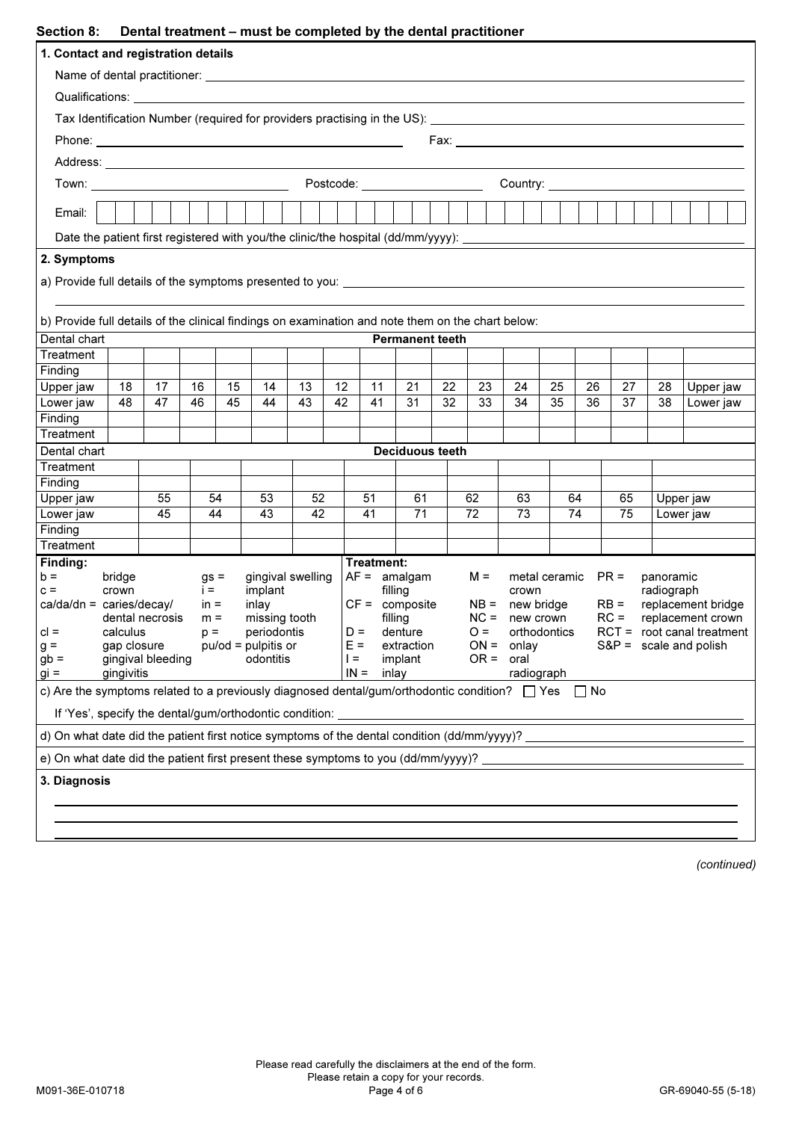## Section 8: Dental treatment – must be completed by the dental prostition

|                                                                                                                                                                 |                             |    |                |    | Dental treatment – must be completed by the dental practitioner |    |  |        |            |                        |  |    |          |                   |                      |       |                                                                                             |            |           |           |  |  |
|-----------------------------------------------------------------------------------------------------------------------------------------------------------------|-----------------------------|----|----------------|----|-----------------------------------------------------------------|----|--|--------|------------|------------------------|--|----|----------|-------------------|----------------------|-------|---------------------------------------------------------------------------------------------|------------|-----------|-----------|--|--|
| 1. Contact and registration details                                                                                                                             |                             |    |                |    |                                                                 |    |  |        |            |                        |  |    |          |                   |                      |       |                                                                                             |            |           |           |  |  |
|                                                                                                                                                                 |                             |    |                |    |                                                                 |    |  |        |            |                        |  |    |          |                   |                      |       |                                                                                             |            |           |           |  |  |
| Qualifications: Qualifications:                                                                                                                                 |                             |    |                |    |                                                                 |    |  |        |            |                        |  |    |          |                   |                      |       |                                                                                             |            |           |           |  |  |
|                                                                                                                                                                 |                             |    |                |    |                                                                 |    |  |        |            |                        |  |    |          |                   |                      |       |                                                                                             |            |           |           |  |  |
|                                                                                                                                                                 |                             |    |                |    |                                                                 |    |  |        |            |                        |  |    |          |                   |                      |       |                                                                                             |            |           |           |  |  |
|                                                                                                                                                                 |                             |    |                |    |                                                                 |    |  |        |            |                        |  |    |          |                   |                      |       |                                                                                             |            |           |           |  |  |
|                                                                                                                                                                 |                             |    |                |    |                                                                 |    |  |        |            |                        |  |    |          |                   |                      |       |                                                                                             |            |           |           |  |  |
|                                                                                                                                                                 |                             |    |                |    |                                                                 |    |  |        |            |                        |  |    |          |                   |                      |       |                                                                                             |            |           |           |  |  |
| Email:                                                                                                                                                          |                             |    |                |    |                                                                 |    |  |        |            |                        |  |    |          |                   |                      |       |                                                                                             |            |           |           |  |  |
| Date the patient first registered with you/the clinic/the hospital (dd/mm/yyyy): _____________________________                                                  |                             |    |                |    |                                                                 |    |  |        |            |                        |  |    |          |                   |                      |       |                                                                                             |            |           |           |  |  |
| 2. Symptoms                                                                                                                                                     |                             |    |                |    |                                                                 |    |  |        |            |                        |  |    |          |                   |                      |       |                                                                                             |            |           |           |  |  |
|                                                                                                                                                                 |                             |    |                |    |                                                                 |    |  |        |            |                        |  |    |          |                   |                      |       |                                                                                             |            |           |           |  |  |
|                                                                                                                                                                 |                             |    |                |    |                                                                 |    |  |        |            |                        |  |    |          |                   |                      |       |                                                                                             |            |           |           |  |  |
| b) Provide full details of the clinical findings on examination and note them on the chart below:                                                               |                             |    |                |    |                                                                 |    |  |        |            |                        |  |    |          |                   |                      |       |                                                                                             |            |           |           |  |  |
| Dental chart                                                                                                                                                    |                             |    |                |    |                                                                 |    |  |        |            | <b>Permanent teeth</b> |  |    |          |                   |                      |       |                                                                                             |            |           |           |  |  |
| Treatment                                                                                                                                                       |                             |    |                |    |                                                                 |    |  |        |            |                        |  |    |          |                   |                      |       |                                                                                             |            |           |           |  |  |
| Finding                                                                                                                                                         |                             |    |                |    |                                                                 |    |  |        |            |                        |  |    |          |                   |                      |       |                                                                                             |            |           |           |  |  |
| Upper jaw                                                                                                                                                       | 18                          | 17 | 16             | 15 | 14                                                              | 13 |  | 12     | 11         | 21                     |  | 22 | 23<br>33 | 24                | 25                   | 26    | 27                                                                                          | 28         |           | Upper jaw |  |  |
| Lower jaw                                                                                                                                                       | 48                          | 47 | 46             | 45 | 44                                                              | 43 |  | 42     | 41         | 31<br>32               |  |    |          | 34                | 35                   | 36    | 37                                                                                          | 38         |           | Lower jaw |  |  |
| Finding<br>Treatment                                                                                                                                            |                             |    |                |    |                                                                 |    |  |        |            |                        |  |    |          |                   |                      |       |                                                                                             |            |           |           |  |  |
| Dental chart                                                                                                                                                    |                             |    |                |    |                                                                 |    |  |        |            | <b>Deciduous teeth</b> |  |    |          |                   |                      |       |                                                                                             |            |           |           |  |  |
| Treatment                                                                                                                                                       |                             |    |                |    |                                                                 |    |  |        |            |                        |  |    |          |                   |                      |       |                                                                                             |            |           |           |  |  |
| Finding                                                                                                                                                         |                             |    |                |    |                                                                 |    |  |        |            |                        |  |    |          |                   |                      |       |                                                                                             |            |           |           |  |  |
| Upper jaw                                                                                                                                                       |                             | 55 |                | 54 | 53                                                              | 52 |  |        | 51         | 61                     |  |    | 62       | 63                | 64                   |       | 65<br>Upper jaw                                                                             |            |           |           |  |  |
| Lower jaw                                                                                                                                                       |                             | 45 |                | 44 | 43                                                              | 42 |  |        | 41         | 71                     |  |    | 72       | 73                |                      | 74    | 75                                                                                          |            | Lower jaw |           |  |  |
| Finding                                                                                                                                                         |                             |    |                |    |                                                                 |    |  |        |            |                        |  |    |          |                   |                      |       |                                                                                             |            |           |           |  |  |
| Treatment                                                                                                                                                       |                             |    |                |    |                                                                 |    |  |        | Treatment: |                        |  |    |          |                   |                      |       |                                                                                             |            |           |           |  |  |
| Finding:<br>$b =$                                                                                                                                               | bridge                      |    | $gs =$         |    | gingival swelling                                               |    |  |        |            | $AF =$ amalgam         |  |    | $M =$    |                   | metal ceramic $PR =$ |       |                                                                                             | panoramic  |           |           |  |  |
| $c =$                                                                                                                                                           | crown                       |    | $i =$          |    | implant                                                         |    |  |        |            | filling                |  |    |          | crown             |                      |       |                                                                                             | radiograph |           |           |  |  |
| $ca/da/dn = caries/decay/$                                                                                                                                      |                             |    | $in =$         |    | inlay                                                           |    |  |        |            | $CF =$ composite       |  |    |          | $NB =$ new bridge |                      |       | $RB =$<br>replacement bridge<br>$RC =$<br>replacement crown<br>$RCT = root canal treatment$ |            |           |           |  |  |
| $cl =$                                                                                                                                                          | dental necrosis<br>calculus |    | $m =$<br>$p =$ |    | missing tooth<br>periodontis                                    |    |  | $D =$  |            | filling<br>denture     |  |    | $O =$    | $NC =$ new crown  | orthodontics         |       |                                                                                             |            |           |           |  |  |
| $g =$                                                                                                                                                           | gap closure                 |    |                |    | $pu/od = pulpitis$ or                                           |    |  | $E =$  |            | extraction             |  |    |          | $ON = only$       |                      |       | $S\&P =$ scale and polish                                                                   |            |           |           |  |  |
| $gb =$                                                                                                                                                          | gingival bleeding           |    |                |    | odontitis                                                       |    |  | $l =$  |            | implant                |  |    |          | $OR = oral$       |                      |       |                                                                                             |            |           |           |  |  |
| $gi =$                                                                                                                                                          | gingivitis                  |    |                |    |                                                                 |    |  | $IN =$ |            | inlay                  |  |    |          |                   | radiograph           |       |                                                                                             |            |           |           |  |  |
| c) Are the symptoms related to a previously diagnosed dental/gum/orthodontic condition? $\Box$ Yes                                                              |                             |    |                |    |                                                                 |    |  |        |            |                        |  |    |          |                   |                      | l INo |                                                                                             |            |           |           |  |  |
| If 'Yes', specify the dental/gum/orthodontic condition:<br>d) On what date did the patient first notice symptoms of the dental condition $(dd/\text{mm/yyy})$ ? |                             |    |                |    |                                                                 |    |  |        |            |                        |  |    |          |                   |                      |       |                                                                                             |            |           |           |  |  |
| e) On what date did the patient first present these symptoms to you (dd/mm/yyyy)?                                                                               |                             |    |                |    |                                                                 |    |  |        |            |                        |  |    |          |                   |                      |       |                                                                                             |            |           |           |  |  |
| 3. Diagnosis                                                                                                                                                    |                             |    |                |    |                                                                 |    |  |        |            |                        |  |    |          |                   |                      |       |                                                                                             |            |           |           |  |  |
|                                                                                                                                                                 |                             |    |                |    |                                                                 |    |  |        |            |                        |  |    |          |                   |                      |       |                                                                                             |            |           |           |  |  |
|                                                                                                                                                                 |                             |    |                |    |                                                                 |    |  |        |            |                        |  |    |          |                   |                      |       |                                                                                             |            |           |           |  |  |
|                                                                                                                                                                 |                             |    |                |    |                                                                 |    |  |        |            |                        |  |    |          |                   |                      |       |                                                                                             |            |           |           |  |  |

(continued)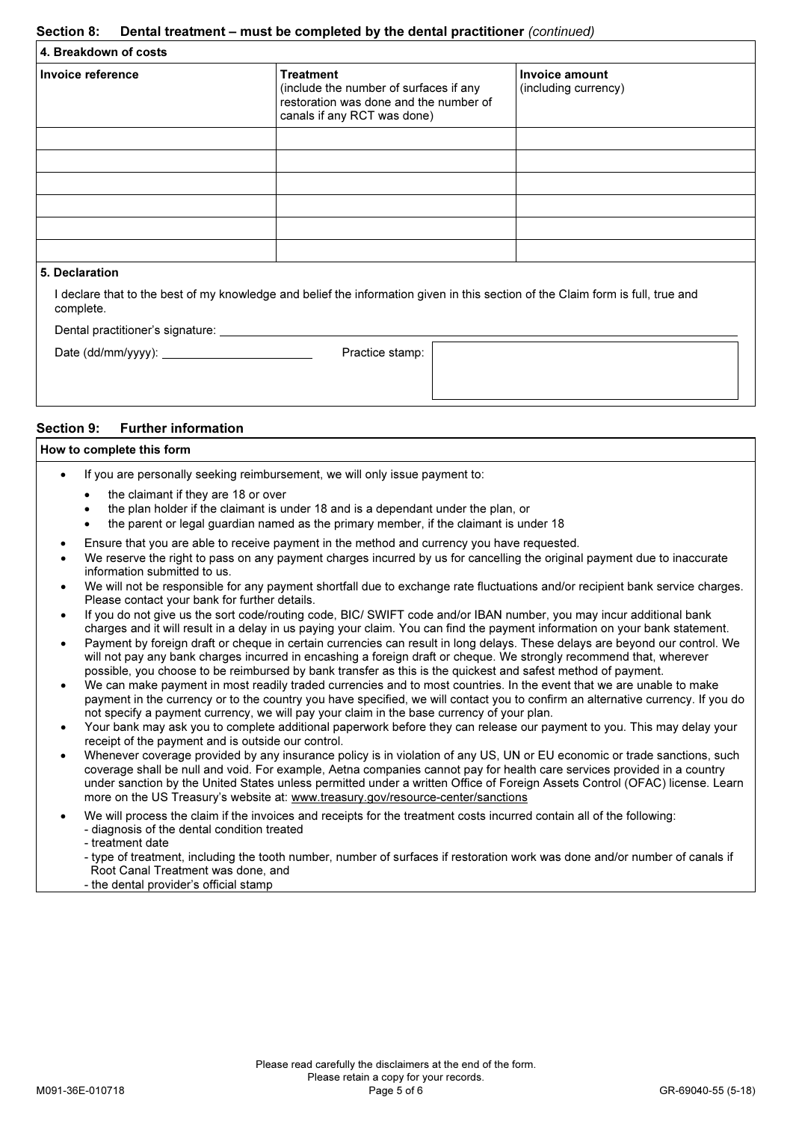### Section 8: Dental treatment – must be completed by the dental practitioner (continued)

| (include the number of surfaces if any<br>restoration was done and the number of<br>canals if any RCT was done) | (including currency) |
|-----------------------------------------------------------------------------------------------------------------|----------------------|
|                                                                                                                 |                      |
|                                                                                                                 |                      |

## 5. Declaration

I declare that to the best of my knowledge and belief the information given in this section of the Claim form is full, true and complete.

Dental practitioner's signature:

|  |  | Date (dd/mm/vvvv): |  |
|--|--|--------------------|--|

Practice stamp:

### Section 9: Further information

# How to complete this form

- If you are personally seeking reimbursement, we will only issue payment to:
	- the claimant if they are 18 or over
	- the plan holder if the claimant is under 18 and is a dependant under the plan, or
	- the parent or legal guardian named as the primary member, if the claimant is under 18
- Ensure that you are able to receive payment in the method and currency you have requested.
- We reserve the right to pass on any payment charges incurred by us for cancelling the original payment due to inaccurate information submitted to us.
- We will not be responsible for any payment shortfall due to exchange rate fluctuations and/or recipient bank service charges. Please contact your bank for further details.
- If you do not give us the sort code/routing code, BIC/ SWIFT code and/or IBAN number, you may incur additional bank charges and it will result in a delay in us paying your claim. You can find the payment information on your bank statement.
- Payment by foreign draft or cheque in certain currencies can result in long delays. These delays are beyond our control. We will not pay any bank charges incurred in encashing a foreign draft or cheque. We strongly recommend that, wherever possible, you choose to be reimbursed by bank transfer as this is the quickest and safest method of payment.
- We can make payment in most readily traded currencies and to most countries. In the event that we are unable to make payment in the currency or to the country you have specified, we will contact you to confirm an alternative currency. If you do not specify a payment currency, we will pay your claim in the base currency of your plan.
- Your bank may ask you to complete additional paperwork before they can release our payment to you. This may delay your receipt of the payment and is outside our control.
- Whenever coverage provided by any insurance policy is in violation of any US, UN or EU economic or trade sanctions, such coverage shall be null and void. For example, Aetna companies cannot pay for health care services provided in a country under sanction by the United States unless permitted under a written Office of Foreign Assets Control (OFAC) license. Learn more on the US Treasury's website at: www.treasury.gov/resource-center/sanctions
- We will process the claim if the invoices and receipts for the treatment costs incurred contain all of the following:
- diagnosis of the dental condition treated
	- treatment date
	- type of treatment, including the tooth number, number of surfaces if restoration work was done and/or number of canals if Root Canal Treatment was done, and
	- the dental provider's official stamp